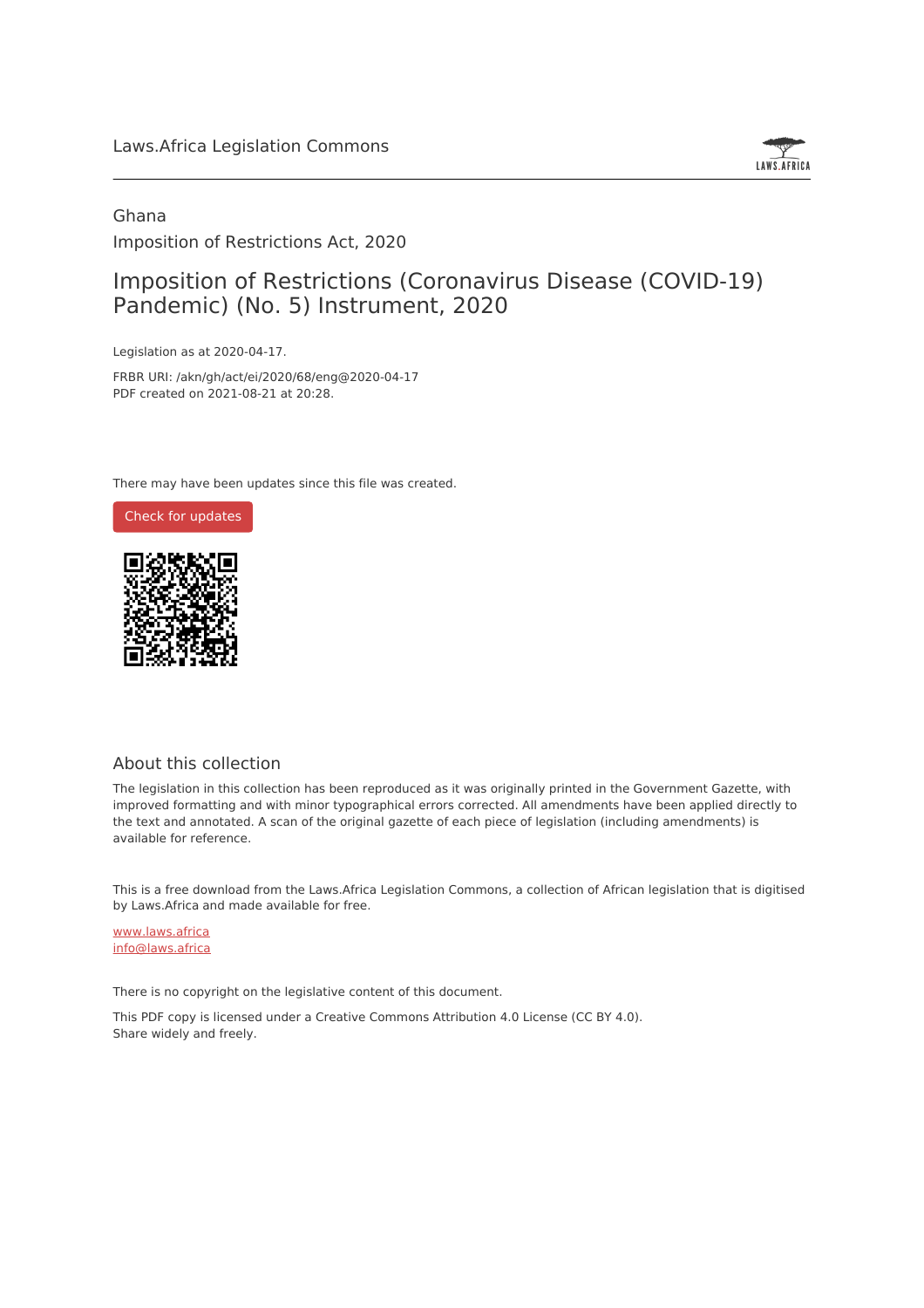#### Laws.Africa Legislation Commons



### Ghana Imposition of Restrictions Act, 2020

## Imposition of Restrictions (Coronavirus Disease (COVID-19) Pandemic) (No. 5) Instrument, 2020

Legislation as at 2020-04-17.

FRBR URI: /akn/gh/act/ei/2020/68/eng@2020-04-17 PDF created on 2021-08-21 at 20:28.

There may have been updates since this file was created.



#### About this collection

The legislation in this collection has been reproduced as it was originally printed in the Government Gazette, with improved formatting and with minor typographical errors corrected. All amendments have been applied directly to the text and annotated. A scan of the original gazette of each piece of legislation (including amendments) is available for reference.

This is a free download from the Laws.Africa Legislation Commons, a collection of African legislation that is digitised by Laws.Africa and made available for free.

[www.laws.africa](https://www.laws.africa) [info@laws.africa](mailto:info@laws.africa)

There is no copyright on the legislative content of this document.

This PDF copy is licensed under a Creative Commons Attribution 4.0 License (CC BY 4.0). Share widely and freely.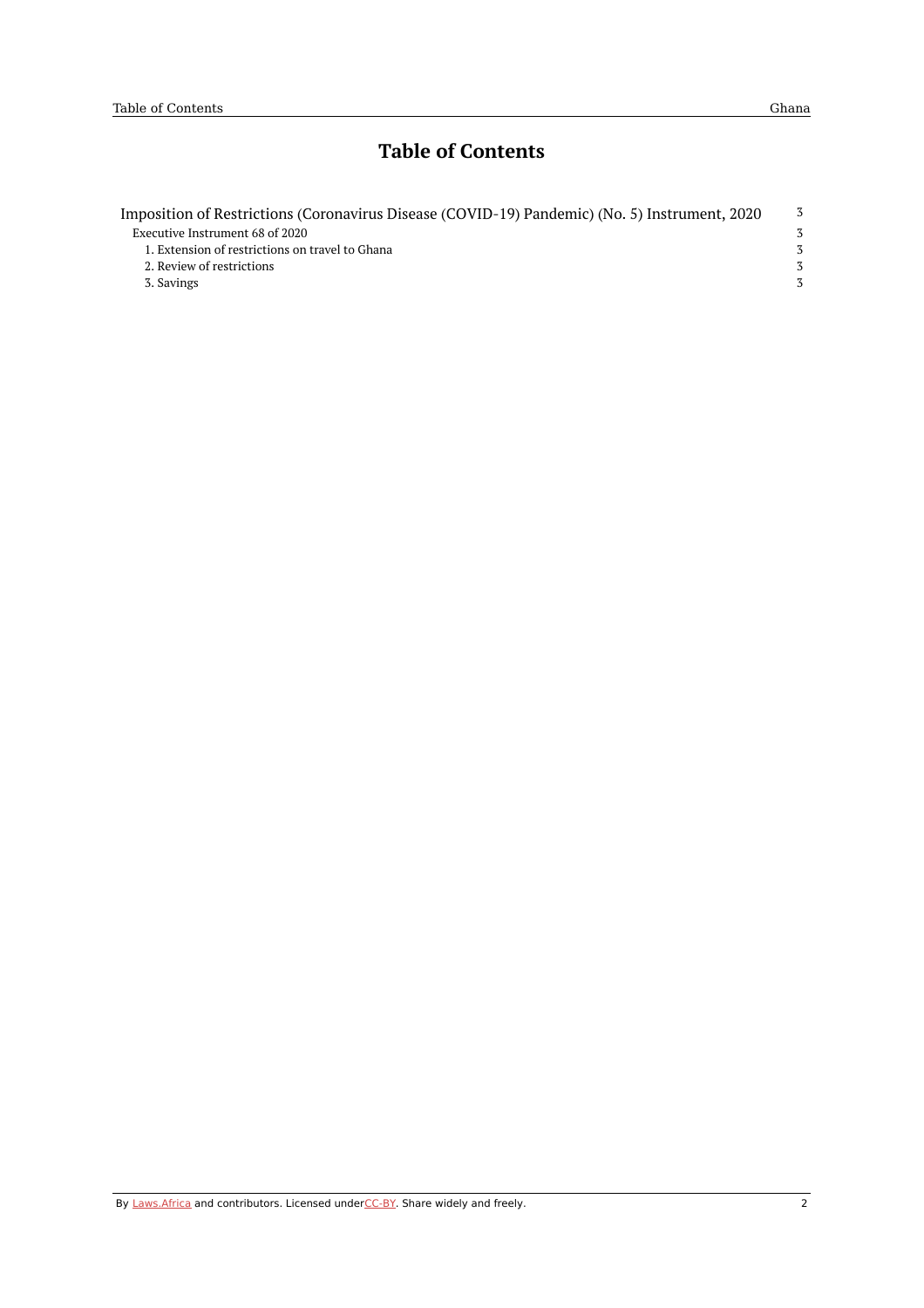## **Table of Contents**

| Imposition of Restrictions (Coronavirus Disease (COVID-19) Pandemic) (No. 5) Instrument, 2020 | -3            |
|-----------------------------------------------------------------------------------------------|---------------|
| Executive Instrument 68 of 2020                                                               | 3             |
| 1. Extension of restrictions on travel to Ghana                                               | $\mathcal{Z}$ |
| 2. Review of restrictions                                                                     | 3             |
| 3. Savings                                                                                    | 3             |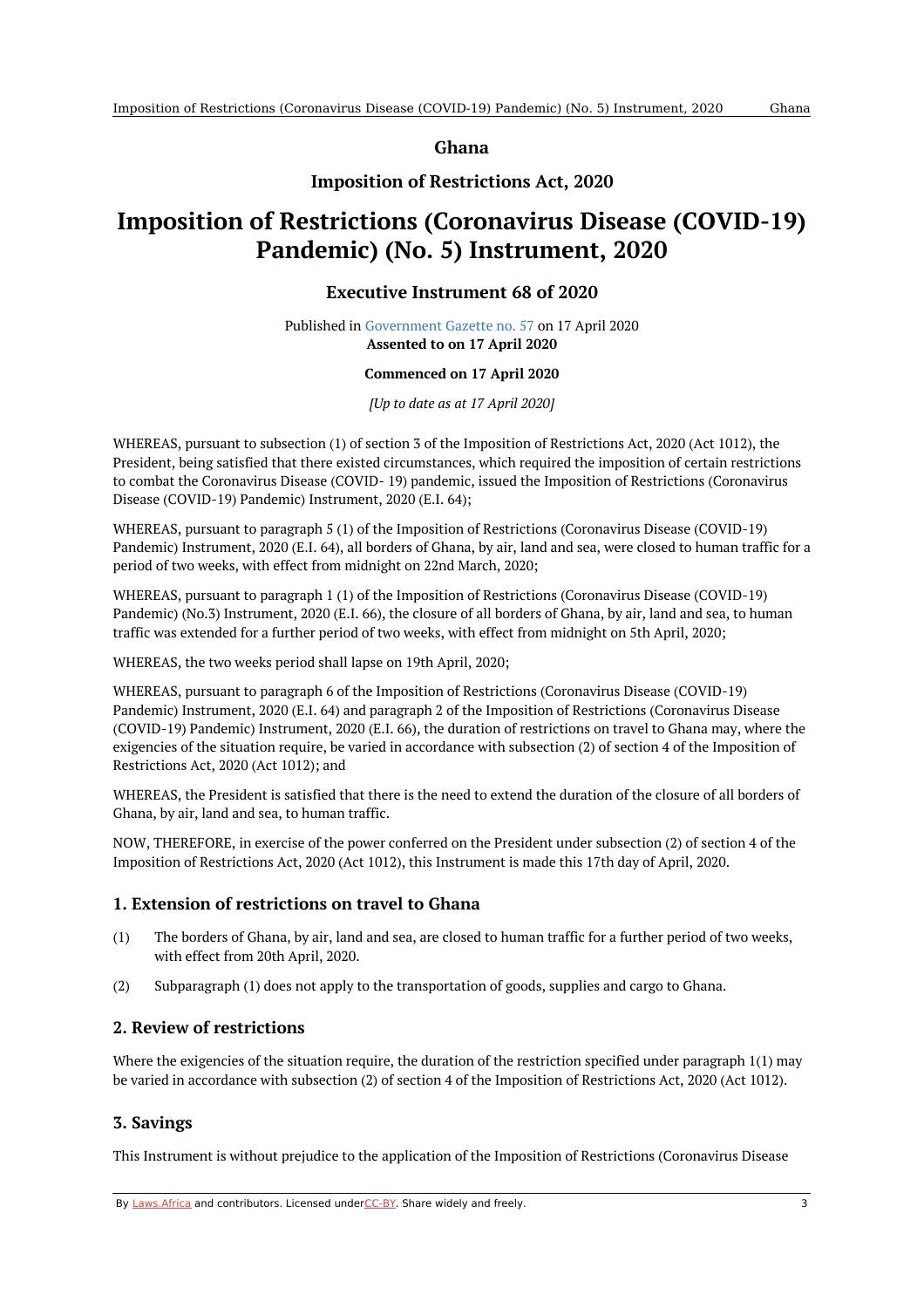**Ghana**

#### **Imposition of Restrictions Act, 2020**

# <span id="page-2-1"></span><span id="page-2-0"></span>**Imposition of Restrictions (Coronavirus Disease (COVID-19) Pandemic) (No. 5) Instrument, 2020**

#### **Executive Instrument 68 of 2020**

Published in [Government](https://commons.laws.africa/akn/gh/act/ei/2020/68/media/publication/gh-act-ei-2020-68-publication-document.pdf) Gazette no. 57 on 17 April 2020 **Assented to on 17 April 2020**

#### **Commenced on 17 April 2020**

#### *[Up to date as at 17 April 2020]*

WHEREAS, pursuant to subsection (1) of section 3 of the Imposition of Restrictions Act, 2020 (Act 1012), the President, being satisfied that there existed circumstances, which required the imposition of certain restrictions to combat the Coronavirus Disease (COVID- 19) pandemic, issued the Imposition of Restrictions (Coronavirus Disease (COVID-19) Pandemic) Instrument, 2020 (E.I. 64);

WHEREAS, pursuant to paragraph 5 (1) of the Imposition of Restrictions (Coronavirus Disease (COVID-19) Pandemic) Instrument, 2020 (E.I. 64), all borders of Ghana, by air, land and sea, were closed to human traffic for a period of two weeks, with effect from midnight on 22nd March, 2020;

WHEREAS, pursuant to paragraph 1 (1) of the Imposition of Restrictions (Coronavirus Disease (COVID-19) Pandemic) (No.3) Instrument, 2020 (E.I. 66), the closure of all borders of Ghana, by air, land and sea, to human traffic was extended for a further period of two weeks, with effect from midnight on 5th April, 2020;

WHEREAS, the two weeks period shall lapse on 19th April, 2020;

WHEREAS, pursuant to paragraph 6 of the Imposition of Restrictions (Coronavirus Disease (COVID-19) Pandemic) Instrument, 2020 (E.I. 64) and paragraph 2 of the Imposition of Restrictions (Coronavirus Disease (COVID-19) Pandemic) Instrument, 2020 (E.I. 66), the duration of restrictions on travel to Ghana may, where the exigencies of the situation require, be varied in accordance with subsection (2) of section 4 of the Imposition of Restrictions Act, 2020 (Act 1012); and

WHEREAS, the President is satisfied that there is the need to extend the duration of the closure of all borders of Ghana, by air, land and sea, to human traffic.

NOW, THEREFORE, in exercise of the power conferred on the President under subsection (2) of section 4 of the Imposition of Restrictions Act, 2020 (Act 1012), this Instrument is made this 17th day of April, 2020.

#### <span id="page-2-2"></span>**1. Extension of restrictions on travel to Ghana**

- (1) The borders of Ghana, by air, land and sea, are closed to human traffic for a further period of two weeks, with effect from 20th April, 2020.
- (2) Subparagraph (1) does not apply to the transportation of goods, supplies and cargo to Ghana.

#### <span id="page-2-3"></span>**2. Review of restrictions**

Where the exigencies of the situation require, the duration of the restriction specified under paragraph 1(1) may be varied in accordance with subsection (2) of section 4 of the Imposition of Restrictions Act, 2020 (Act 1012).

#### <span id="page-2-4"></span>**3. Savings**

This Instrument is without prejudice to the application of the Imposition of Restrictions (Coronavirus Disease

By [Laws.Africa](https://edit.laws.africa/widgets/pdf-attribution) and contributors. Licensed und[erCC-B](https://edit.laws.africa/widgets/pdf-cc-by)Y. Share widely and freely. 3